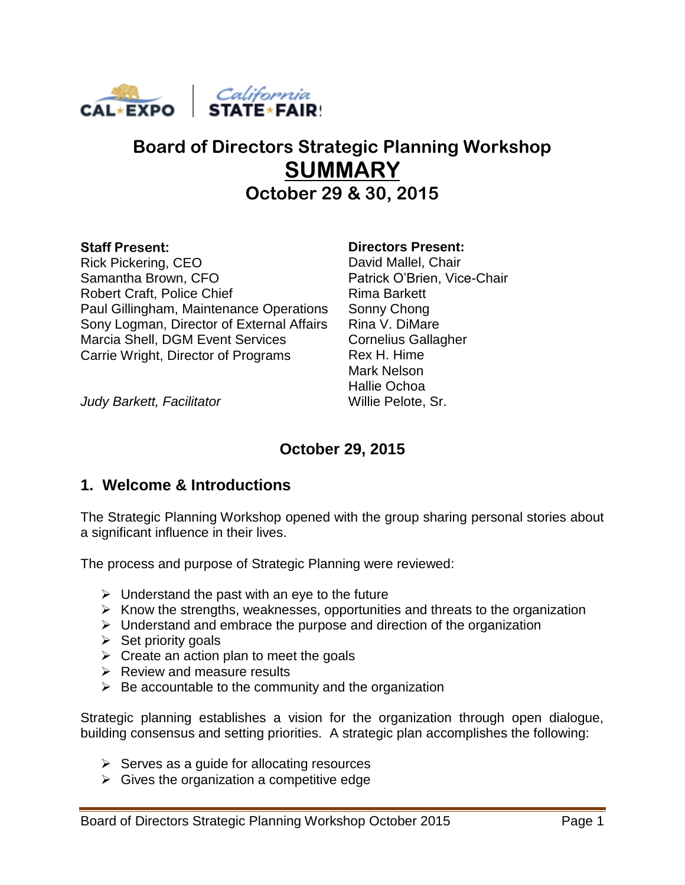

# **Board of Directors Strategic Planning Workshop SUMMARY October 29 & 30, 2015**

#### **Staff Present:** Rick Pickering, CEO Samantha Brown, CFO Robert Craft, Police Chief Paul Gillingham, Maintenance Operations Sony Logman, Director of External Affairs Marcia Shell, DGM Event Services Carrie Wright, Director of Programs

#### **Directors Present:**

David Mallel, Chair Patrick O'Brien, Vice-Chair Rima Barkett Sonny Chong Rina V. DiMare Cornelius Gallagher Rex H. Hime Mark Nelson Hallie Ochoa Willie Pelote, Sr.

*Judy Barkett, Facilitator*

# **October 29, 2015**

### **1. Welcome & Introductions**

The Strategic Planning Workshop opened with the group sharing personal stories about a significant influence in their lives.

The process and purpose of Strategic Planning were reviewed:

- $\triangleright$  Understand the past with an eye to the future
- $\triangleright$  Know the strengths, weaknesses, opportunities and threats to the organization
- $\triangleright$  Understand and embrace the purpose and direction of the organization
- $\triangleright$  Set priority goals
- $\triangleright$  Create an action plan to meet the goals
- $\triangleright$  Review and measure results
- $\triangleright$  Be accountable to the community and the organization

Strategic planning establishes a vision for the organization through open dialogue, building consensus and setting priorities. A strategic plan accomplishes the following:

- $\triangleright$  Serves as a guide for allocating resources
- $\triangleright$  Gives the organization a competitive edge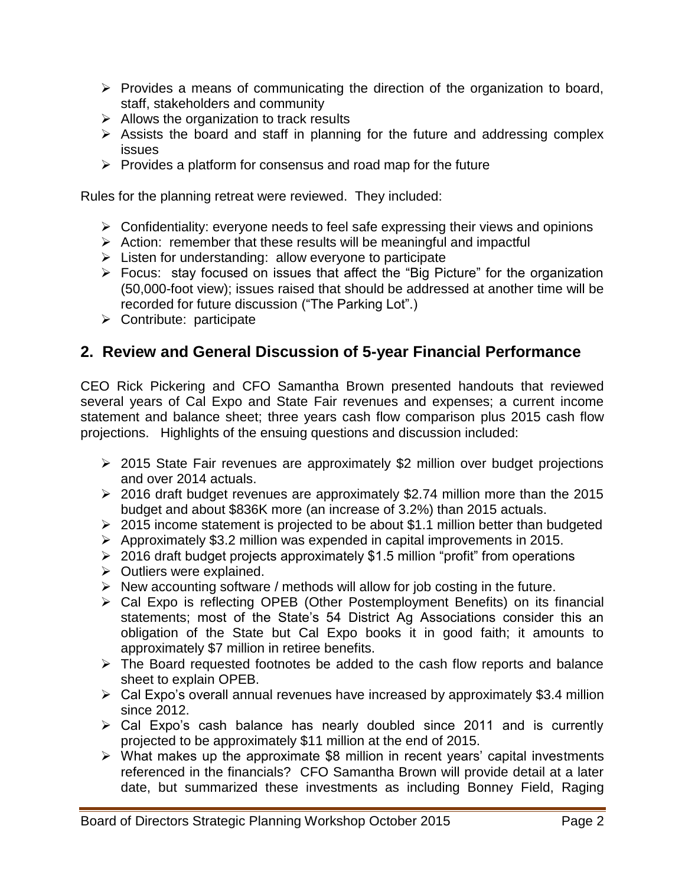- $\triangleright$  Provides a means of communicating the direction of the organization to board, staff, stakeholders and community
- $\triangleright$  Allows the organization to track results
- $\triangleright$  Assists the board and staff in planning for the future and addressing complex issues
- $\triangleright$  Provides a platform for consensus and road map for the future

Rules for the planning retreat were reviewed. They included:

- $\triangleright$  Confidentiality: everyone needs to feel safe expressing their views and opinions
- $\triangleright$  Action: remember that these results will be meaningful and impactful
- $\triangleright$  Listen for understanding: allow everyone to participate
- Focus: stay focused on issues that affect the "Big Picture" for the organization (50,000-foot view); issues raised that should be addressed at another time will be recorded for future discussion ("The Parking Lot".)
- $\triangleright$  Contribute: participate

### **2. Review and General Discussion of 5-year Financial Performance**

CEO Rick Pickering and CFO Samantha Brown presented handouts that reviewed several years of Cal Expo and State Fair revenues and expenses; a current income statement and balance sheet; three years cash flow comparison plus 2015 cash flow projections. Highlights of the ensuing questions and discussion included:

- 2015 State Fair revenues are approximately \$2 million over budget projections and over 2014 actuals.
- 2016 draft budget revenues are approximately \$2.74 million more than the 2015 budget and about \$836K more (an increase of 3.2%) than 2015 actuals.
- $\geq 2015$  income statement is projected to be about \$1.1 million better than budgeted
- Approximately \$3.2 million was expended in capital improvements in 2015.
- $\geq 2016$  draft budget projects approximately \$1.5 million "profit" from operations
- $\triangleright$  Outliers were explained.
- $\triangleright$  New accounting software / methods will allow for job costing in the future.
- Cal Expo is reflecting OPEB (Other Postemployment Benefits) on its financial statements; most of the State's 54 District Ag Associations consider this an obligation of the State but Cal Expo books it in good faith; it amounts to approximately \$7 million in retiree benefits.
- $\triangleright$  The Board requested footnotes be added to the cash flow reports and balance sheet to explain OPEB.
- $\triangleright$  Cal Expo's overall annual revenues have increased by approximately \$3.4 million since 2012.
- Cal Expo's cash balance has nearly doubled since 2011 and is currently projected to be approximately \$11 million at the end of 2015.
- $\triangleright$  What makes up the approximate \$8 million in recent years' capital investments referenced in the financials? CFO Samantha Brown will provide detail at a later date, but summarized these investments as including Bonney Field, Raging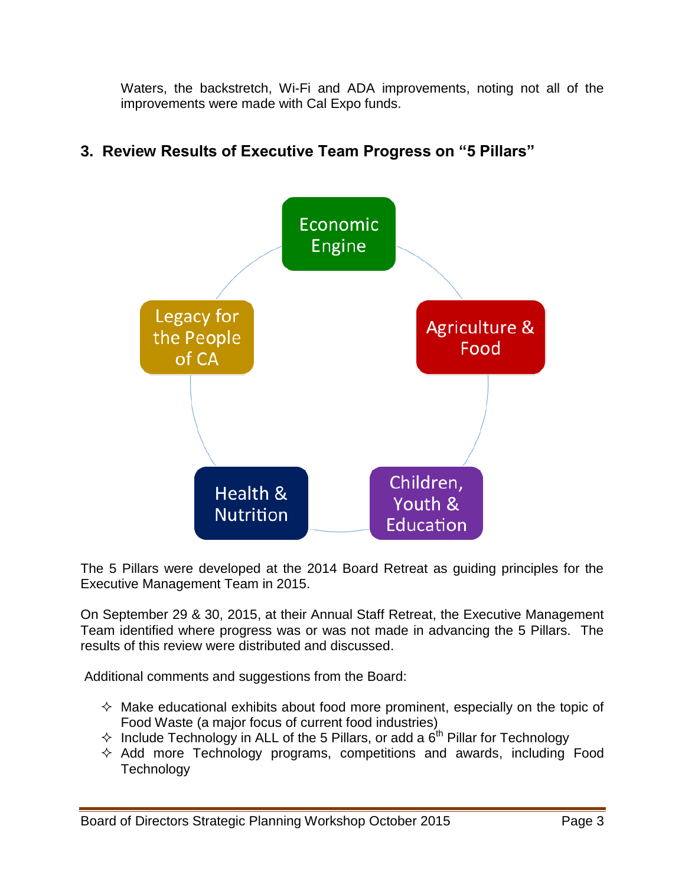Waters, the backstretch, Wi-Fi and ADA improvements, noting not all of the improvements were made with Cal Expo funds.



# **3. Review Results of Executive Team Progress on "5 Pillars"**

The 5 Pillars were developed at the 2014 Board Retreat as guiding principles for the Executive Management Team in 2015.

On September 29 & 30, 2015, at their Annual Staff Retreat, the Executive Management Team identified where progress was or was not made in advancing the 5 Pillars. The results of this review were distributed and discussed.

Additional comments and suggestions from the Board:

- $\Diamond$  Make educational exhibits about food more prominent, especially on the topic of Food Waste (a major focus of current food industries)
- $\Diamond$  Include Technology in ALL of the 5 Pillars, or add a  $6^{th}$  Pillar for Technology
- $\Diamond$  Add more Technology programs, competitions and awards, including Food **Technology**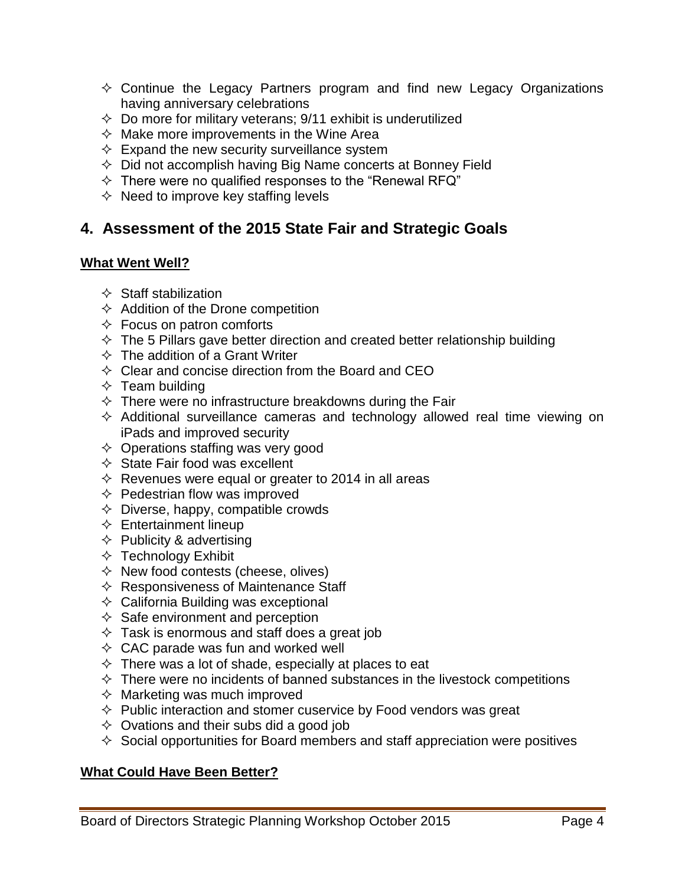- $\Diamond$  Continue the Legacy Partners program and find new Legacy Organizations having anniversary celebrations
- $\Diamond$  Do more for military veterans; 9/11 exhibit is underutilized
- $\Diamond$  Make more improvements in the Wine Area
- $\Diamond$  Expand the new security surveillance system
- $\Diamond$  Did not accomplish having Big Name concerts at Bonney Field
- $\Diamond$  There were no qualified responses to the "Renewal RFQ"
- $\Diamond$  Need to improve key staffing levels

### **4. Assessment of the 2015 State Fair and Strategic Goals**

#### **What Went Well?**

- $\Diamond$  Staff stabilization
- $\Diamond$  Addition of the Drone competition
- $\Diamond$  Focus on patron comforts
- $\div$  The 5 Pillars gave better direction and created better relationship building
- $\Diamond$  The addition of a Grant Writer
- $\Diamond$  Clear and concise direction from the Board and CEO
- $\Diamond$  Team building
- $\Diamond$  There were no infrastructure breakdowns during the Fair
- $\Diamond$  Additional surveillance cameras and technology allowed real time viewing on iPads and improved security
- $\Diamond$  Operations staffing was very good
- $\Diamond$  State Fair food was excellent
- $\Diamond$  Revenues were equal or greater to 2014 in all areas
- $\Diamond$  Pedestrian flow was improved
- $\Diamond$  Diverse, happy, compatible crowds
- $\Leftrightarrow$  Entertainment lineup
- $\Diamond$  Publicity & advertising
- $\Diamond$  Technology Exhibit
- $\Diamond$  New food contests (cheese, olives)
- $\Leftrightarrow$  Responsiveness of Maintenance Staff
- $\Diamond$  California Building was exceptional
- $\Diamond$  Safe environment and perception
- $\Diamond$  Task is enormous and staff does a great job
- $\Diamond$  CAC parade was fun and worked well
- $\Diamond$  There was a lot of shade, especially at places to eat
- $\Diamond$  There were no incidents of banned substances in the livestock competitions
- $\Diamond$  Marketing was much improved
- $\Diamond$  Public interaction and stomer cuservice by Food vendors was great
- $\Diamond$  Ovations and their subs did a good job
- $\Diamond$  Social opportunities for Board members and staff appreciation were positives

#### **What Could Have Been Better?**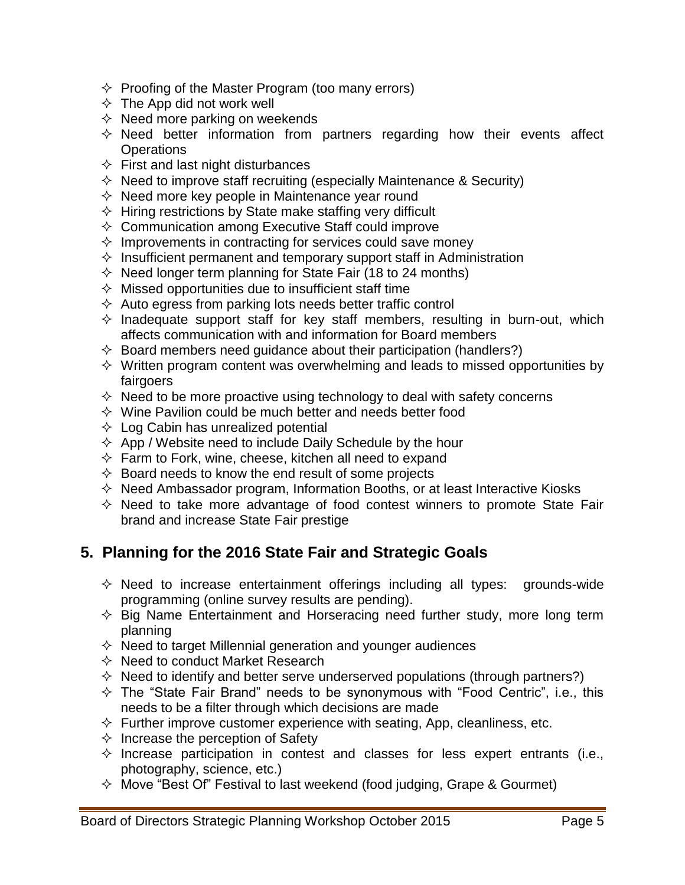- $\Diamond$  Proofing of the Master Program (too many errors)
- $\Diamond$  The App did not work well
- $\Diamond$  Need more parking on weekends
- $\Diamond$  Need better information from partners regarding how their events affect **Operations**
- $\Diamond$  First and last night disturbances
- $\Diamond$  Need to improve staff recruiting (especially Maintenance & Security)
- $\Diamond$  Need more key people in Maintenance year round
- $\Diamond$  Hiring restrictions by State make staffing very difficult
- $\Diamond$  Communication among Executive Staff could improve
- $\Diamond$  Improvements in contracting for services could save money
- $\Diamond$  Insufficient permanent and temporary support staff in Administration
- $\Diamond$  Need longer term planning for State Fair (18 to 24 months)
- $\Diamond$  Missed opportunities due to insufficient staff time
- $\Diamond$  Auto egress from parking lots needs better traffic control
- $\Diamond$  Inadequate support staff for key staff members, resulting in burn-out, which affects communication with and information for Board members
- $\Diamond$  Board members need guidance about their participation (handlers?)
- $\Diamond$  Written program content was overwhelming and leads to missed opportunities by fairgoers
- $\Diamond$  Need to be more proactive using technology to deal with safety concerns
- $\Diamond$  Wine Pavilion could be much better and needs better food
- $\Diamond$  Log Cabin has unrealized potential
- $\Diamond$  App / Website need to include Daily Schedule by the hour
- $\Diamond$  Farm to Fork, wine, cheese, kitchen all need to expand
- $\Diamond$  Board needs to know the end result of some projects
- $\Diamond$  Need Ambassador program, Information Booths, or at least Interactive Kiosks
- $\Diamond$  Need to take more advantage of food contest winners to promote State Fair brand and increase State Fair prestige

# **5. Planning for the 2016 State Fair and Strategic Goals**

- $\Diamond$  Need to increase entertainment offerings including all types: grounds-wide programming (online survey results are pending).
- $\Diamond$  Big Name Entertainment and Horseracing need further study, more long term planning
- $\Diamond$  Need to target Millennial generation and younger audiences
- $\Diamond$  Need to conduct Market Research
- $\Diamond$  Need to identify and better serve underserved populations (through partners?)
- $\div$  The "State Fair Brand" needs to be synonymous with "Food Centric", i.e., this needs to be a filter through which decisions are made
- $\Diamond$  Further improve customer experience with seating, App, cleanliness, etc.
- $\Diamond$  Increase the perception of Safety
- $\Diamond$  Increase participation in contest and classes for less expert entrants (i.e., photography, science, etc.)
- $\Diamond$  Move "Best Of" Festival to last weekend (food judging, Grape & Gourmet)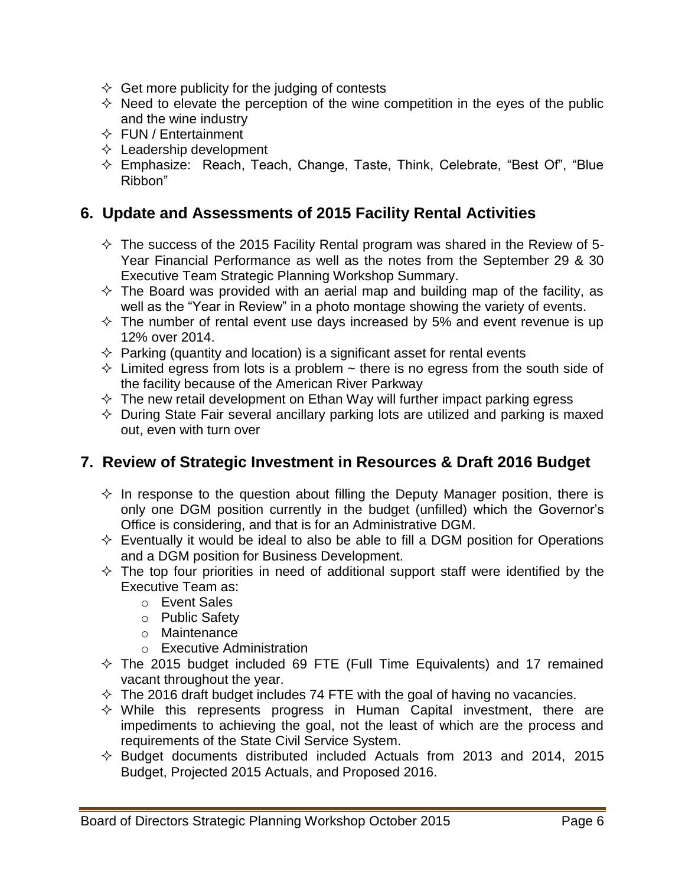- $\Diamond$  Get more publicity for the judging of contests
- $\Diamond$  Need to elevate the perception of the wine competition in the eyes of the public and the wine industry
- $\Leftrightarrow$  FUN / Entertainment
- $\Diamond$  Leadership development
- $\Diamond$  Emphasize: Reach, Teach, Change, Taste, Think, Celebrate, "Best Of", "Blue Ribbon"

### **6. Update and Assessments of 2015 Facility Rental Activities**

- $\Diamond$  The success of the 2015 Facility Rental program was shared in the Review of 5-Year Financial Performance as well as the notes from the September 29 & 30 Executive Team Strategic Planning Workshop Summary.
- $\Diamond$  The Board was provided with an aerial map and building map of the facility, as well as the "Year in Review" in a photo montage showing the variety of events.
- $\div$  The number of rental event use days increased by 5% and event revenue is up 12% over 2014.
- $\Diamond$  Parking (quantity and location) is a significant asset for rental events
- $\Diamond$  Limited egress from lots is a problem  $\sim$  there is no egress from the south side of the facility because of the American River Parkway
- $\Diamond$  The new retail development on Ethan Way will further impact parking egress
- $\Diamond$  During State Fair several ancillary parking lots are utilized and parking is maxed out, even with turn over

# **7. Review of Strategic Investment in Resources & Draft 2016 Budget**

- $\Diamond$  In response to the question about filling the Deputy Manager position, there is only one DGM position currently in the budget (unfilled) which the Governor's Office is considering, and that is for an Administrative DGM.
- $\Diamond$  Eventually it would be ideal to also be able to fill a DGM position for Operations and a DGM position for Business Development.
- $\Diamond$  The top four priorities in need of additional support staff were identified by the Executive Team as:
	- o Event Sales
	- o Public Safety
	- o Maintenance
	- o Executive Administration
- $\div$  The 2015 budget included 69 FTE (Full Time Equivalents) and 17 remained vacant throughout the year.
- $\div$  The 2016 draft budget includes 74 FTE with the goal of having no vacancies.
- $\Diamond$  While this represents progress in Human Capital investment, there are impediments to achieving the goal, not the least of which are the process and requirements of the State Civil Service System.
- $\div$  Budget documents distributed included Actuals from 2013 and 2014, 2015 Budget, Projected 2015 Actuals, and Proposed 2016.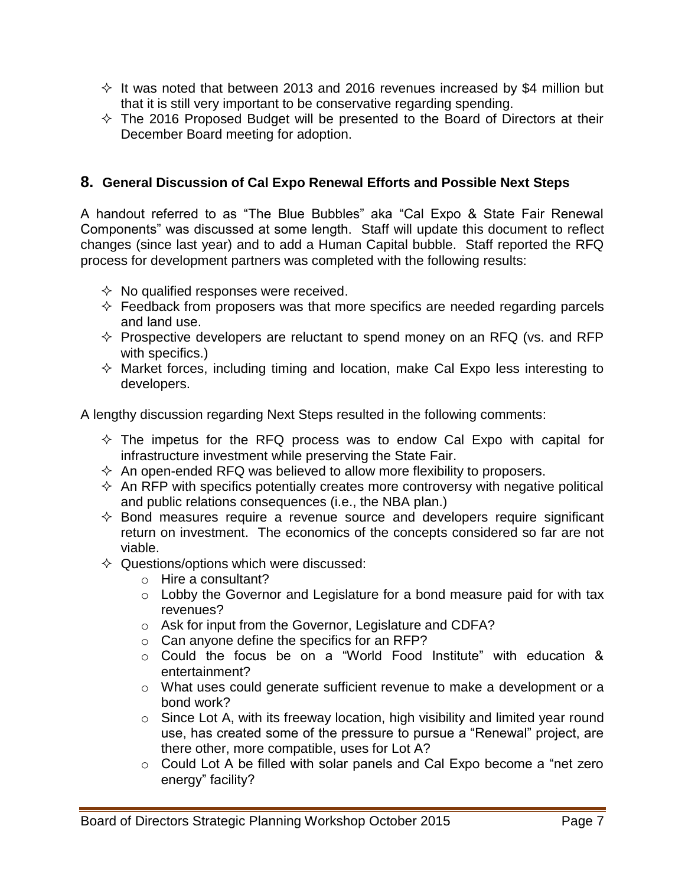- $\Diamond$  It was noted that between 2013 and 2016 revenues increased by \$4 million but that it is still very important to be conservative regarding spending.
- $\Diamond$  The 2016 Proposed Budget will be presented to the Board of Directors at their December Board meeting for adoption.

#### **8. General Discussion of Cal Expo Renewal Efforts and Possible Next Steps**

A handout referred to as "The Blue Bubbles" aka "Cal Expo & State Fair Renewal Components" was discussed at some length. Staff will update this document to reflect changes (since last year) and to add a Human Capital bubble. Staff reported the RFQ process for development partners was completed with the following results:

- $\Diamond$  No qualified responses were received.
- $\Diamond$  Feedback from proposers was that more specifics are needed regarding parcels and land use.
- $\Diamond$  Prospective developers are reluctant to spend money on an RFQ (vs. and RFP with specifics.)
- $\Diamond$  Market forces, including timing and location, make Cal Expo less interesting to developers.

A lengthy discussion regarding Next Steps resulted in the following comments:

- $\Diamond$  The impetus for the RFQ process was to endow Cal Expo with capital for infrastructure investment while preserving the State Fair.
- $\Diamond$  An open-ended RFQ was believed to allow more flexibility to proposers.
- $\Diamond$  An RFP with specifics potentially creates more controversy with negative political and public relations consequences (i.e., the NBA plan.)
- $\Diamond$  Bond measures require a revenue source and developers require significant return on investment. The economics of the concepts considered so far are not viable.
- $\Diamond$  Questions/options which were discussed:
	- o Hire a consultant?
	- o Lobby the Governor and Legislature for a bond measure paid for with tax revenues?
	- o Ask for input from the Governor, Legislature and CDFA?
	- o Can anyone define the specifics for an RFP?
	- o Could the focus be on a "World Food Institute" with education & entertainment?
	- o What uses could generate sufficient revenue to make a development or a bond work?
	- $\circ$  Since Lot A, with its freeway location, high visibility and limited year round use, has created some of the pressure to pursue a "Renewal" project, are there other, more compatible, uses for Lot A?
	- o Could Lot A be filled with solar panels and Cal Expo become a "net zero energy" facility?